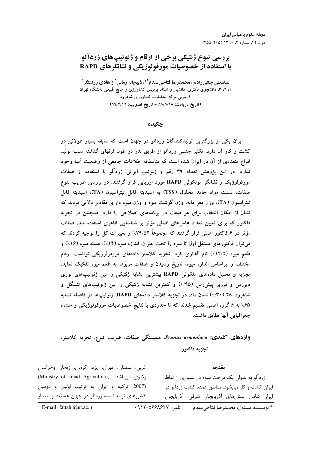# بررسي تنوع ژنتيكي برخي از ارقام و ژنوتيپهاي زردآلو با استفاده از خصوصیات مورفولوژیکی و نشانگرهای RAPD

عباسعلي جنتيزاده'، محمدرضا فتاحيمقدم'\*، ذبيحاله زماني" و هادي زراعتگر " ۱، ۲، ۳، دانشجوی دکتری، دانشیار و استاد پردیس کشاورزی و منابع طبیعی دانشگاه تهران ۴، مربی مرکز تحقیقات کشاورزی شاهرود (تاريخ دريافت: ٨٨/٨/١٨ - تاريخ تصويب: ٨٩/٤/١٢)

چکىدە

ایران یکی از بزرگترین تولیدکنندگان زردآلو در جهان است که سابقه بسیار طولانی در کشت و کار آن دارد. تکثیر جنسی زردآلو از طریق بذر در طول قرنهای گذشته سبب تولید انواع متعددی از آن در ایران شده است که متاسفانه اطلاعات جامعی از وضعیت آنها وجود ندارد. در این پژوهش تعداد ۳۹ رقم و ژنوتیپ ایرانی زردآلو با استفاده از صفات مورفولوژیک و نشانگر مولکولی RAPD مورد ارزیابی قرار گرفتند. در بررسی ضریب تنوع صفات، نسبت مواد جامد محلول (TSS) به اسیدیته قابل تیتراسیون (TA)، اسیدیته قابل تیتراسیون (TA)، وزن مغز دانه، وزن گوشت میوه و وزن میوه دارای مقادیر بالایی بودند که نشان از امکان انتخاب برای هر صفت در برنامههای اصلاحی را دارد. همچنین در تجزیه فاکتور که برای تعیین تعداد عاملهای اصلی مؤثر بر شناسایی ظاهری استفاده شد، صفات مؤثر در ۶ فاکتور اصلی قرار گرفتند که مجموعاً ۷۹/۵۲٪ از تغییرات کل را توجیه کردند که می توان فاکتورهای مستقل اول تا سوم را تحت عنوان: اندازه میوه (۲۴٪)، هسته میوه (۱۶٪) و طعم میوه (۱۴/۵٪) نام گذاری کرد. تجزیه کلاستر دادههای مورفولوژیکی توانست ارقام مختلف را براساس اندازه میوه، تاریخ رسیدن و صفات مربوط به طعم میوه تفکیک نماید. تجزیه و تحلیل دادههای ملکولی RAPD بیشترین تشابه ژنتیکی را بین ژنوتیپهای نوری دیررس و نوری پیشررس (۰/۹۵) و کمترین تشابه ژنتیکی را بین ژنوتیپهای تنسگل و شاهرود-۴۸ (۲۰٪) نشان داد. در تجزیه کلاستر دادههای RAPD، ژنوتیپها در فاصله تشابه ۶۵٪ به ۶ گروه اصلی تقسیم شدند که تا حدودی با نتایج خصوصیات مورفولوژیکی و منشاء جغرافيايي آنها تطابق داشت.

# واژەهای کلیدی: Prunus armeniaca، همبستگی صفات، ضریب تنوع، تجزیه کلاستر، تجزيه فاكتور.

غربی، سمنان، تهران، یزد، کرمان، زنجان وخراسان مقدمه (Ministry of Jihad Agriculture, رضوی میباشد) زردآلو به عنوان یک درخت میوه در بسیاری از نقاط (2007. تركيه وايران به ترتيب اولين ودومين ایران کشت و کار میشود. مناطق عمده کشت زردآلو در کشورهای تولیدکننده زردآلو در جهان هستند و بعد از ایران شامل استانهای آذربایجان شرقی، آذربایجان

E-mail: fattahi@ut.ac.ir

\* نويسنده مسئول: محمدرضا فتاحے مقدم تلفن: ٩١٢-٥۶۶٨،۶۲۷-٩١٢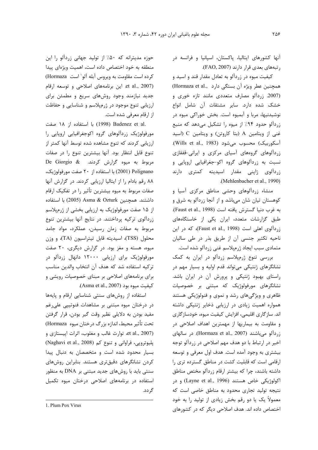آنها کشورهای ایتالیا، پاکستان، اسپانیا و فرانسه در رتبههای بعدی قرار دارند (FAO, 2007).

کیفیت میوه در زردآلو به تعادل مقدار قند و اسید و همچنین عطر ویژه آن بستگی دارد ..Hormaza et al (2007. زردآلو مصارف متعددی مانند تازه خوری و خشک شده دارد. سایر مشتقات آن شامل انواع نوشیدنیها، مربا و آبمیوه است. بخش خوراکی میوه در زردآلو حدود ۹۴٪ از میوه را تشکیل میدهد که منبع غنی از ویتامین A (بتا کاروتن) و ویتامین C (اسید آسكوربيك) محسوب مىشود (Wills et al., 1983). زردآلوهای گروههای آسیای مرکزی و ایرانی-قفقازی نسبت به زردآلوهای گروه اکو-جغرافیایی اروپایی و زردآلوی ژاپنی مقدار اسیدیته کمتری دارند .(Mehlenbacher et al., 1990)

منشاء زردآلوهای وحشی مناطق مرکزی آسیا و کوهستان تیان شان میباشد و از آنجا زردآلو به شرق و به غرب دنيا گسترش يافته است (Faust et al., 1998). طبق گزارشات متعدد، ایران یکی از خاستگاههای زردآلوی اهلی است (Faust et al., 1998)، که در این ناحیه تکثیر جنسی آن از طریق بذر در طی سالیان متمادی سبب ایجاد ژرمپلاسم غنی زردآلو شده است.

بررسی تنوع ژرمپلاسم زردآلو در ایران به کمک نشانگرهای ژنتیکی میتواند قدم اولیه و بسیار مهم در راستای بهبود ژنتیکی و پرورش آن در ایران باشد. نشانگرهای مورفولوژیک که مبتنی بر خصوصیات ظاهری و ویژگیهای رشد و نموی و فنولوژیکی هستند همواره اهمیت زیادی در ارزیابی ذخایر ژنتیکی داشته اند. سازگاری اقلیمی، افزایش کیفیت میوه، خودسازگاری و مقاومت به بیماریها از مهمترین اهداف اصلاحی در زردآلو میباشند (Hormaza et al., 2007). در سالهای اخیر در ارتباط با دو هدف مهم اصلاحی در زردآلو توجه بیشتری به وجود آمده است. هدف اول معرفی و توسعه ارقامی است که قابلیت کشت در مناطق گسترده تری را داشته باشند، چرا که بیشتر ارقام زردآلو مختص مناطق 1 اکولوژیکی خاص هستند (Layne et al., 1996) و در نتیجه تولید تجاری محدود به مناطق خاصی است که معمولاً یک یا دو رقم بخش زیادی از تولید را به خود اختصاص داده اند. هدف اصلاحی دیگر که در کشورهای

حوزه مدیترانه که ۵۰٪ از تولید جهانی زردآلو را این منطقه به خود اختصاص داده است، اهمیت ویژهای پیدا كرده است مقاومت به ويروس آبله آلو<sup>\</sup> است Hormaza) et al., 2007). این برنامههای اصلاحی و توسعه ارقام جدید نیازمند وجود روشهای سریع و مطمئن برای ارزیابی تنوع موجود در ژرمپلاسم و شناسایی و حفاظت از ارقام معرفی شده است.

.Badenez et al (1998) با استفاده از ۱۸ صفت مورفولوژیک زردآلوهای گروه اکوجغرافیایی اروپایی را ارزیابی کردند که تنوع مشاهده شده توسط آنها کمتر از تنوع قابل انتظار بود. آنها بيشترين تنوع را در صفات De Giorgio & میوه گزارش کردند. De Giorgio & Polignano (2001) با استفاده از ۲۰ صفت مورفولوژیک، ۸۸ رقم بادام را از ایتالیا ارزیابی کردند. در گزارش آنها صفات مربوط به ميوه بيشترين تأثير را در تفكيك ارقام داشتند. همچنین Asma & Ozturk (2005) با استفاده از ۱۵ صفت مورفولوژیک به ارزیابی بخشی از ژرمپلاسم زردآلوی ترکیه پرداختند. در نتایج آنها بیشترین تنوع مربوط به صفات زمان رسیدن، عملکرد، مواد جامد محلول (TSS)، اسيديته قابل تيتراسيون (TA)، و وزن میوه، هسته و مغز بود. در گزارش دیگری، ۲۰ صفت مورفولوژیک برای ارزیابی ۱۲۰۰۰ دانهال زردآلو در تركيه استفاده شد كه هدف آن انتخاب والدين مناسب برای برنامههای اصلاحی بر مبنای خصوصیات رویشی و كيفيت ميوه بود (Asma et al., 2007).

استفاده از روشهای سنتی شناسایی ارقام و پایهها در درختان میوه مبتنی بر مشاهدات فنوتییی علی غم مفيد بودن به دلايلي نظير وقت گير بودن، قرار گرفتن تحت تأثير محيط، اندازه بزرگ درختان ميوه Hormaza) et al., 2007). توارث غالب و مغلوب، اثرات اپيستازى و (Naghavi et al., 2008) یلیوترویی، فراوانی و تنوع کم بسیار محدود شده است و متخصصان به دنبال پیدا کردن نشانگرهای دقیقتری هستند. بنابراین روشهای سنتی باید با روشهای جدید مبتنی بر DNA به منظور استفاده در برنامههای اصلاحی درختان میوه تکمیل گر دد.

<sup>1.</sup> Plum Pox Virus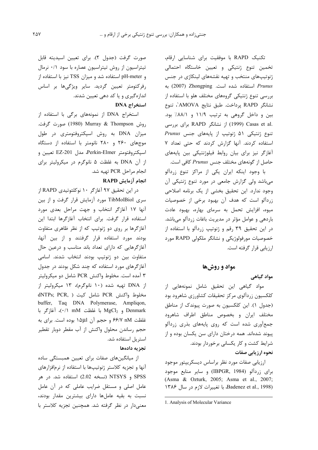تکنیک RAPD با موفقیت برای شناسایی ارقام، تخمین تنوع ژنتیکی و تعیین خاستگاه احتمالی ژنوتیپهای منتخب و تهیه نقشههای لینکاژی در جنس Prunus استفاده شده است. Zhongping به بررسی تنوع ژنتیکی گروههای مختلف هلو با استفاده از نشانگر RAPD پرداخت. طبق نتايج AMOVA'، تنوع بين و داخل گروهي به ترتيب ١١/٩ و ٨٨/١٪ بود. .Casas et al (1999) از نشانگر RAPD برای بررسی تنوع ژنتیکی ۵۱ ژنوتیپ از پایههای جنس Prunus استفاده کردند. آنها گزارش کردند که حتی تعداد ۷ آغازگر نیز برای بیان روابط فیلوژنتیکی بین پایههای حاصل از گونههای مختلف جنس Prunus کافی است.

با وجود اینکه ایران یکی از مراکز تنوع زردآلو میباشد ولی گزارش جامعی در مورد تنوع ژنتیکی آن وجود ندارد. این تحقیق بخشی از یک برنامه اصلاحی زردآلو است که هدف آن بهبود برخی از خصوصیات میوه، افزایش تحمل به سرمای بهاره، بهبود عادت باردهی و عوامل مؤثر در مدیریت باغات زردآلو میباشد. در این تحقیق ۳۹ رقم و ژنوتیپ زردآلو با استفاده از خصوصیات مورفولوژیکی و نشانگر ملکولی RAPD مورد ارزیابی قرار گرفته است.

### مواد و روشها

مواد گیاهی

مواد گیاهی این تحقیق شامل نمونههایی از كلكسيون زردآلوي مركز تحقيقات كشاورزي شاهرود بود (جدول ١). اين كلكسيون به صورت پيوندك از مناطق مختلف ایران و بخصوص مناطق اطراف شاهرود جمعآوری شده است که روی پایههای بذری زردآلو پیوند شدهاند. همه درختان دارای سن یکسان بوده و از شرایط کشت و کار یکسانی برخوردار بودند.

نحوه ارزيابي صفات

ارزيابي صفات مورد نظر براساس ديسكريپتور موجود برای زردآلو (IBPGR, 1984) و سایر منابع موجود (Asma & Ozturk, 2005; Asma et al., 2007; Badenez et al., 1998). با تغییرات لازم در سال ۱۳۸۶

صورت گرفت (جدول ٢). براي تعيين اسيديته قابل تیتراسیون از روش تیتراسیون عصاره با سود ۰/۱ نرمال و pH-meter استفاده شد و میزان TSS نیز با استفاده از رفركتومتر تعيين گرديد. ساير ويژگىها بر اساس اندازهگیری و یا کد دهی تعیین شدند.

# استخراج DNA

استخراج DNA از نمونههای برگی با استفاده از روش Murray & Thompson (1980) صورت گرفت. میزان DNA به روش اسپکتروفتومتری در طول موجهای ۲۶۰ و ۲۸۰ نانومتر با استفاده از دستگاه اسپكتروفتومتر Perkin-Elmer، مدل EZ-201 تعيين و از آن DNA به غلظت ۵ نانوگرم در میکرولیتر برای انجام مراحل PCR تهيه شد.

## انجام آزمایش RAPD

در این تحقیق ۹۷ آغازگر ۱۰ نوکلئوتیدی RAPD از سری TibMolBiol مورد آزمایش قرار گرفت و از بین آنها ١٧ آغازگر انتخاب و جهت مراحل بعدی مورد استفاده قرار گرفت. برای انتخاب آغازگرها ابتدا این آغازگرها بر روی دو ژنوتیپ که از نظر ظاهری متفاوت بودند مورد استفاده قرار گرفتند و از بین آنها، آغازگرهایی که دارای تعداد باند مناسب و درعین حال متفاوت بین دو ژنوتیپ بودند انتخاب شدند. اسامی آغاز گرهای مورد استفاده که چند شکل بودند در جدول ۳ آمده است. مخلوط واکنش PCR شامل دو میکرولیتر از DNA تهیه شده (۱۰ نانوگرم)، ۱۳ میکرولیتر از dNTPs; PCR, ) شامل كيت ( ,dNTPs; PCR buffer, Taq DNA Polymerase, Ampliqon, و MgCl<sub>2</sub> با غلظت mM (۰/۱ mM)، أغازگر با غلظت nM ۶۶/۷ و حجم آن ۱۵μ۱ بوده است. برای به حجم رساندن محلول واكنش از آب مقطر دوبار تقطير استریل استفاده شد.

#### تجزيه دادهها

از میانگینهای صفات برای تعیین همبستگی ساده آنها و تجزیه کلاستر ژنوتیپها با استفاده از نرمافزارهای SPSS و NTSYS (نسخه 2.02) استفاده شد. در هر عامل اصلی و مستقل ضرایب عاملی که در آن عامل نسبت به بقیه عاملها دارای بیشترین مقدار بودند، معنیدار در نظر گرفته شد. همچنین تجزیه کلاستر با

<sup>1.</sup> Analysis of Molecular Variance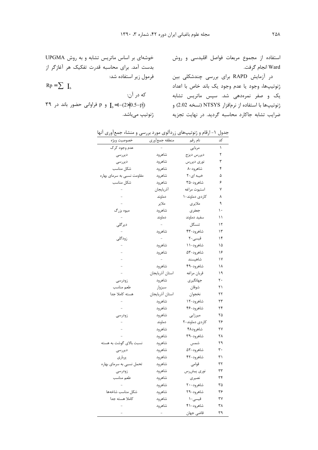استفاده از مجموع مربعات فواصل اقلیدسی و روش Ward انجام گرفت.

در آزمایش RAPD برای بررسی چندشکلی بین ژنوتیپها، وجود یا عدم وجود یک باند خاص با اعداد یک و صفر نمرهدهی شد. سپس ماتریس تشابه ژنوتیپها با استفاده از نرمافزار NTSYS (نسخه 2.02) و ضرایب تشابه جاکارد محاسبه گردید. در نهایت تجزیه می از زنوتیپ میباشد.

خوشهای بر اساس ماتریس تشابه و به روش UPGMA بدست آمد. برای محاسبه قدرت تفکیک هر آغازگر از فرمول زير استفاده شد:  $Rp = \sum I_h$ كه در آن: ۳۹ و p فراوانی حضور باند در ۳۹ $I_{\rm b}$ =1-(2x|0.5-p|)

| جدول ۱- ارقام و ژنوتیپهای زردآلوی مورد بررسی و منشاء جمعآوری آنها |                 |                |    |
|-------------------------------------------------------------------|-----------------|----------------|----|
| خصوصيت ويژه                                                       | منطقه جمعأوري   | نام رقم        | کد |
| عدم وجود کرک                                                      |                 | مربايي         | ١  |
| ديررسى                                                            | شاهرود          | ديررس ديزج     | ٢  |
| ديررسى                                                            | شاهرود          | نورى ديررس     | ٣  |
| شكل مناسب                                                         | شاهرود          | شاهرود-۸       | ۴  |
| مقاومت نسبی به سرمای بهاره                                        | شاهرود          | خیبه ای-۲      | ۵  |
| شكل مناسب                                                         | شاهرود          | شاهرود-۳۵      | ۶  |
|                                                                   | أذربايجان       | استيوت مراغه   | ٧  |
|                                                                   | دماوند          | كاردى دماوند-١ | ٨  |
|                                                                   | ملاير           | ملايري         | ٩  |
| ميوه بزرگ                                                         | شاهرود          | جعفرى          | ۱۰ |
|                                                                   | دماوند          | سفيد دماوند    | ۱۱ |
| دیر گلی                                                           |                 | تنسگل          | ۱۲ |
|                                                                   | شاهرود          | شاهرود-۴۳      | ۱۳ |
| زودگلی                                                            | $\equiv$        | قیسی-۲         | ۱۴ |
|                                                                   | شاهرود          | شاهرود-۱۱      | ۱۵ |
|                                                                   | شاهرود          | شاهرود-۵۳      | ۱۶ |
|                                                                   |                 | شاهپسند        | ۱۷ |
|                                                                   | شاهرود          | شاهرود-۴۹      | ۱۸ |
|                                                                   | استان آذربايجان | قربان مراغه    | ۱۹ |
| زودرسى                                                            | شاهرود          | جهانگیری       | ٢٠ |
| طعم مناسب                                                         | سبزوار          | شوقان          | ۲۱ |
| هسته كاملا جدا                                                    | استان أذربايجان | نخجوان         | ۲۲ |
|                                                                   | شاهرود          | شاهرود-۱۲      | ۲۳ |
|                                                                   | شاهرود          | شاهرود-۴۶      | ۲۴ |
| زودرسى                                                            | شاهرود          | میرزایی        | ۲۵ |
|                                                                   | دماوند          | كاردى دماوند-٢ | ۲۶ |
|                                                                   | شاهرود          | شاهرود۴۸       | ۲۷ |
|                                                                   | شاهرود          | شاهرود-۳۹      | ٢٨ |
| نسبت بالای گوشت به هسته                                           | شاهرود          | شمس            | ۲۹ |
| ديررسى                                                            | شاهرود          | شاهرود-۵۲      | ٣٠ |
| پربارى                                                            | شاهرود          | شاهرود-۴۲      | ۳۱ |
| تحمل نسبي به سرماي بهاره                                          | شاهرود          | قوامى          | ٣٢ |
| زودرسى                                                            | شاهرود          | نورى پيشرس     | ٣٣ |
| طعم مناسب                                                         | شاهرود          | نصيرى          | ٣۴ |
|                                                                   | شاهرود          | شاهرود-۲۰      | ٣۵ |
| شكل مناسب شاخهها                                                  | شاهرود          | شاهرود-۲۹      | ٣۶ |
| كاملا هسته جدا                                                    | شاهرود          | قيسى-١         | ٣٧ |
|                                                                   | شاهرود          | شاهرود-۴۱      | ٣٨ |
|                                                                   |                 | قاضی جهان      | ٣٩ |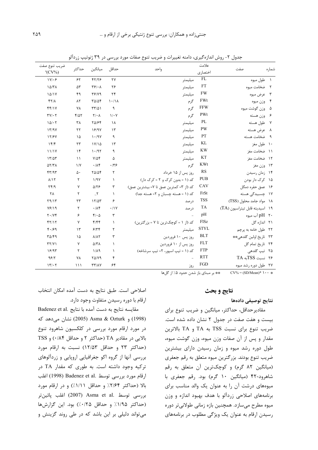| ضريب تنوع صفت<br>$^{\circ}$ (CV%) | حداكثر              | ميانگين                                | حداقل        | واحد                                    | علامت<br>اختصاري | صفت                            | شمار ه        |
|-----------------------------------|---------------------|----------------------------------------|--------------|-----------------------------------------|------------------|--------------------------------|---------------|
| $1V/\cdot 5$                      | 55                  | FT/TP                                  | ٢٧           | ميليمتر                                 | FL               | طول ميوه                       | $\rightarrow$ |
| 10/T <sub>A</sub>                 | $\Delta \mathsf{r}$ | $\mathbf{Y}$ $\mathbf{S}$ $\mathbf{A}$ | ۲۶           | ميليمتر                                 | <b>FT</b>        | ضخامت ميوه                     | $\mathsf{r}$  |
| 10/1Y                             | ۴۹                  | YY/Y                                   | ۲۴           | ميليمتر                                 | <b>FW</b>        | عرض ميوه                       | $\mathbf{r}$  |
| $YY/\Lambda$                      | $\Lambda \Upsilon$  | $T\Delta/\Delta f$                     | 1.11         | گرم                                     | FWt              | وزن ميوه                       | $\mathbf{r}$  |
| f(f)/Y                            | ٧٨                  | $\Upsilon\Upsilon/\Delta$              | ٩            | گرم                                     | <b>FFW</b>       | وزن گوشت ميوه                  | ۵             |
| $TY/\cdot 7$                      | $f/\Delta Y$        | $Y/\cdot \Lambda$                      | $1/\cdot Y$  | گرم                                     | PWt              | وزن هسته                       | ۶             |
| 101.7                             | ٣٨                  | <b>TAISF</b>                           | ١٨           | ميليمتر                                 | PL               | طول هسته                       | $\mathsf{v}$  |
| 17/9V                             | ۲۲                  | 18/98                                  | $\gamma$     | ميليمتر                                 | PW               | عرض هسته                       | <b>∧</b>      |
| 15/8V                             | ۱۵                  | 1.19V                                  | ٩            | ميليمتر                                 | PT               | ضخامت هسته                     | ্ণ            |
| 157                               | ۲۳                  | 1Y/10                                  | $\gamma$     | ميليمتر                                 | KL               | ۱۰ طول مغز                     |               |
| 11/1Y                             | $\gamma$            | 1.197                                  | ٩            | ميليمتر                                 | <b>KW</b>        | ضخامت مغز                      | $\rightarrow$ |
| 17/27                             | $\lambda$           | $Y/\Delta f$                           | ۵            | ميليمتر                                 | KT               | ۱۲ ضخامت مغز                   |               |
| $\Delta Y/Y\Lambda$               | $\frac{1}{V}$       | .11                                    | .779         | گر م                                    | <b>KWt</b>       | وزن مغز                        | $\gamma$      |
| FT/97                             | ۵٠                  | $YQ/\Delta f$                          | $\mathsf{r}$ | روز پس از ۱۵ خرداد                      | RS               | ۱۴ زمان رسیدن                  |               |
| $\lambda/\Upsilon$                | $\mathsf{r}$        | 1/9V                                   | $\lambda$    | کد (۱ = بدون کرک و ۲ = کرک دار)         | <b>PUB</b>       | كرك دار بودن                   | $\wedge$      |
| $\Upsilon \Upsilon / 9$           | Y                   | $\Delta/\Upsilon$                      | ٣            | كد (از ٣= كمترين عمق تا ٧= بيشترين عمق) | CAV              | ۱۶٪ عمق حفره دمگل              |               |
| ٢٨                                | ٢                   | $\mathcal{N}$                          | $\lambda$    | كد (١ = هسته چسبان و ٢= هسته جدا)       | FrSt             | ١٧ چسبیدگی هسته                |               |
| Y9/Y                              | ٢٣                  | 17/27                                  | ۶            | د, صد                                   | <b>TSS</b>       | ۱۸ مواد جامد محلول (TSS)       |               |
| $Y$ ۶/۱۹                          | $\mathsf{r}$        | .11                                    | .11V         | در صد                                   | TA               | ١٩ اسيديته قابل تيتراسيون (TA) |               |
| $Y \cdot / Y$                     | ۶                   | $f/\cdot \Delta$                       | $\mathbf{r}$ |                                         | pH               | ۲۰٪ pH آب میوه                 |               |
| FT/17                             | Υ                   | f/ff                                   | $\lambda$    | کد (از ۱ = کوچکترین تا ۷ = بزرگترین)    | FISz             | ۲۱ اندازه گل                   |               |
| 4.199                             | $\gamma$            | 5/77                                   | ٢            | ميليمتر                                 | <b>STYL</b>      | ۲۲۔ طول خامه به پرچم           |               |
| $T\Delta/F9$                      | ۱۵                  | $\lambda/\lambda\Upsilon$              | ٣            | روز پس ۱۰ فروردین                       | <b>BLT</b>       | ٢٣ تاريخ اولين گلدهي**         |               |
| $\Upsilon \Upsilon / \Upsilon$    | γ                   | $\Delta/\Upsilon\Lambda$               | $\lambda$    | روز پس از ۱۰ فروردین                    | <b>FLT</b>       | تاريخ تمام گل                  | ۲۴            |
| 19/97                             | ٢                   | $1/\lambda$ 9                          | $\lambda$    | کد (۱ = تيپ اسپور، ۲= تيپ سرشاخه)       | <b>FTP</b>       | ۲۵ تیپ گلدهی                   |               |
| 95/7                              | <b>YA</b>           | $Y\Delta/Y9$                           | ۴            |                                         | <b>RTT</b>       | ٢۶ نسبت TSSبه TA               |               |
| 17.7                              | $\binom{1}{1}$      | $\tau\tau/\lambda\gamma$               | ۶۴           | روز                                     | FGD              | ۲۷۔ طول دورہ رشد میوہ          |               |

جدول ۲- روش اندازه گیری، دامنه تغییرات و ضریب تنوع صفات مورد بررسی در ۳۹ ژنوتیپ زردآلو

\* • • + \* CV% = (SD/Mean) \* \* \* بر مبناي باز شدن حدود ۵٪ از گلها

#### نتايج و بحث

### نتايج توصيفي دادهها

مقادیر حداقل، حداکثر، میانگین و ضریب تنوع برای بیست و هفت صفت در جدول ۲ نشان داده شده است. ضريب تنوع براي نسبت TSS به TA و TA بالاترين مقدار و پس از آن صفات وزن میوه، وزن گوشت میوه، طول دوره رشد میوه و زمان رسیدن دارای بیشترین ضریب تنوع بودند. بزرگترین میوه متعلق به رقم جعفری (میانگین ۸۲ گرم) و کوچکترین آن متعلق به رقم شاه, ود-۴۲ (میانگین ۱۰ گرم) بود. رقم جعفری با میوههای درشت آن را به عنوان یک والد مناسب برای برنامههای اصلاحی زردآلو با هدف بهبود اندازه و وزن میوه مطرح میسازد. همچنین بازه زمانی طولانیتر دوره رسیدن ارقام به عنوان یک ویژگی مطلوب در برنامههای

اصلاحی است. طبق نتایج به دست آمده امکان انتخاب ارقام با دوره رسیدن متفاوت وجود دارد.

Badenez et al. مقايسه نتايج به دست آمده با نتايج (1998) و Asma & Ozturk (2005) نشان می دهد که در مورد ارقام مورد بررسی در کلکسیون شاهرود تنوع بالایی در مقادیر TA (حداکثر ۲ و حداقل ۰/۸۴) و TSS (حداكثر ٢٣ وحداقل ١٢/٥٣) نسبت به ارقام مورد بررسی آنها از گروه اکو جغرافیایی اروپایی و زردآلوهای ترکیه وجود داشته است. به طوری که مقدار TA در ارقام مورد بررسي توسط .Badenez et al (1998) اغلب بالا (حداكثر ٢/٤۴٪ و حداقل ١/١/١٪) و در ارقام مورد بررسی توسط .Asma et al (2007) اغلب یائین:تر (حداكثر ١/٩۵٪ وحداقل ٢٥٪٪) بود. اين گزارشها می تواند دلیلی بر این باشد که در طی روند گزینش و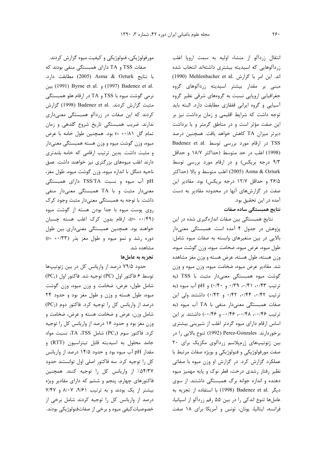مورفولوژیکی، فنولوژیکی و کیفیت میوه گزارش کردند. صفات TSS و TA دارای همبستگی منفی بودند که با نتايج Asma & Ozturk (2005) مطابقت دارد. .u (1991) Byrne et al. (1997) Badenez et al. نرمی گوشت میوه با TSS و TA در ارقام هلو همبستگی مثبت گزارش کردند. .Badenez et al (1998) گزارش کردند که این صفات در زردآلو همبستگی معنیداری ندارند. ضریب همبستگی تاریخ شروع گلدهی و زمان تمام گل r= +٠/٨١ تود. همچنين طول خامه با عرض میوه، وزن گوشت میوه و وزن هسته همبستگی معنیدار و مثبت داشت. بدین ترتیب ارقامی که خامه بلندتری دارند اغلب میوههای بزرگتری نیز خواهند داشت. عمق ناحيه دمگل با اندازه ميوه، وزن گوشت ميوه، طول مغز، pH آب میوه و نسبت TSS/TA دارای همبستگی معنیدار مثبت و با TA همبستگی معنیدار منفی داشت. با توجه به همبستگی معنیدار مثبت وجود کرک روی پوست میوه با جدا بودن هسته از گوشت میوه (r= +·/۴۹)، ارقام بدون كرك اغلب هسته چسبان خواهند بود. همچنین همبستگی معنیداری بین طول دوره رشد و نمو ميوه و طول مغز بذر (r= +٠/٣٣) مشاهده شد.

#### تجزیه به عاملها

حدود ۷۹/۵ درصد از واریانس کل در بین ژنوتیپها توسط ۶ فاكتور اول (PC) توجيه شد. فاكتور اول (PC1) شامل طول، عرض، ضخامت و وزن میوه، وزن گوشت میوه، طول هسته و وزن و طول مغز بود و حدود ۲۴ درصد از واریانس کل را توجیه کرد. فاکتور دوم (PC2) شامل وزن، عرض و ضخامت هسته و عرض، ضخامت و وزن مغز بود و حدود ۱۶ درصد از واریانس کل را توجیه  $T A$ ، 7SS تاكتور سوم (PC3) شامل TA، TSS تسبت مواد جامد محلول به اسیدیته قابل تیتراسیون (RTT) و مقدار pH آب میوه بود و حدود ۱۴/۵ درصد از واریانس كل را توجيه كرد. سه فاكتور اصلى اول توانستند حدود ۵۴/۳۷٪ از واریانس کل را توجیه کنند. همچنین فاکتورهای چهارم، پنجم و ششم که دارای مقادیر ویژه بیشتر از یک بودند و به ترتیب ۹/۶۱، ۸/۰۷ و ۷/۴۷ درصد از واریانس کل را توجیه کردند شامل برخی از خصوصیات کیفی میوه و برخی از صفاتفنولوژیکی بودند.

انتقال زردآلو از منشاء اوليه به سمت ارويا اغلب زردآلوهایی که اسیدیته بیشتری داشتهاند انتخاب شده (1990) Mehlenbacher et al. اند. این امر با گزارش . مبنی بر مقدار بیشتر اسیدیته زردآلوهای گروه جغرافیایی اروپایی نسبت به گروههای شرقی نظیر گروه آسیایی و گروه ایرانی قفقازی مطابقت دارد. البته باید توجه داشت که شرایط اقلیمی و زمان برداشت نیز بر این صفت مؤثر است و در مناطق گرمتر و یا برداشت ديرتر ميزان TA كاهش خواهد يافت. همچنين درصد TSS در ارقام مورد بررسی توسط .Badenez et al (1998) اغلب در حد متوسط (حداكثر ١٨/٧ و حداقل ۹/۳ درجه بریکس) و در ارقام مورد بررسی توسط Asma & Ozturk (2005) اغلب متوسط و بالا (حداكثر ۲۶/۵ و حداقل ۱۲/۷ درجه بریکس) بود. مقادیر این صفت در گزارشهای آنها در محدوده مقادیر به دست آمده در این تحقیق بود.

## نتایج همبستگی ساده صفات

نتایج همبستگی بین صفات اندازهگیری شده در این پژوهش در جدول ۴ آمده است. همبستگی معنیدار بالایی در بین متغیرهای وابسته به صفات میوه شامل: طول میوه، عرض میوه، ضخامت میوه، وزن گوشت میوه، وزن هسته، طول هسته، عرض هسته و وزن مغز مشاهده شد. مقادیر عرض میوه، ضخامت میوه، وزن میوه و وزن گوشت ميوه همبستگى معنى دار مثبت با TSS (به ترتيب ٠/٣٣، ٠/٣١، ٠/٣٩، ٠/٣٠ و ٠/٤٠) و pH آب ميوه (به ترتيب ٠/٤٢، ٠/٤۴، ٠/٤٢، و ٠/٤٢) داشتند ولي اين صفات همبستگی معنیدار منفی با TA آب میوه (به ترتیب ۰/۴۶–، ۰/۴۸–، ۰/۴۶– و ۰/۴۶–) داشتند. بر این اساس ارقام دارای میوه گردتر اغلب از شیرینی بیشتری برخوردارند. Perez-Gonzales (1992) تنوع بالايي را در بین ژنوتیپهای ژرمیلاسم زردآلوی مکزیک برای ۲۰ صفت مورفولوژیکی و فنولوژیکی و بویژه صفات مرتبط با عملکرد گزارش کرد. در گزارش او وزن میوه با صفاتی نظیر رفتار رشدی درخت، قطر نوک و پایه مهمیز میوه دهنده و اندازه جوانه برگ همبستگی داشتند. از سوی ديكر .Badenez et al (1998) با استفاده از تجزيه به عاملها تنوع اندکی را در بین ۵۵ رقم زردآلو از اسپانیا، فرانسه، ایتالیا، یونان، تونس و آمریکا برای ۱۸ صفت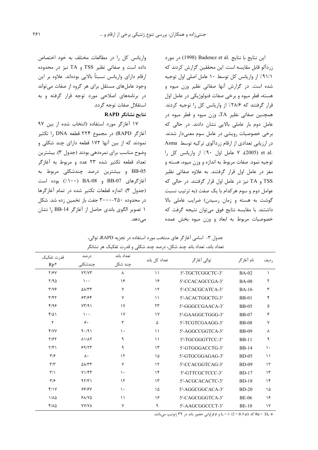این نتایج با نتایج Badenez et al. مورد زردآلو قابل مقایسه است. این محققین گزارش کردند که ٩١/١/ از واریانس کل توسط ١٠ عامل اصلي اول توجيه شده است. در گزارش آنها صفاتی نظیر وزن میوه و هسته، قطر میوه و برخی صفات فنولوژیکی در عامل اول قرار گرفتند که ۲۸/۶٪ از واریانس کل را توجیه کردند. همچنین صفاتی نظیر TA، وزن میوه و قطر میوه در عامل دوم بار عاملی بالایی نشان دادند. در حالی که برخی خصوصیات رویشی در عامل سوم معنیدار شدند. در ارزیابی تعدادی از ارقام زردآلوی ترکیه توسط Asma .et al (2005)، ٧ عامل اول ٩٠٪ از واريانس كل را توجیه نمود. صفات مربوط به اندازه و وزن میوه، هسته و مغز در عامل اول قرار گرفتند. به علاوه صفاتی نظیر TSS و TA نیز در عامل اول قرار گرفتند. در حالی که عوامل دوم و سوم هر كدام با يک صفت (به ترتيب نسبت گوشت به هسته و زمان رسیدن) ضرایب عاملی بالا داشتند. با مقایسه نتایج فوق میتوان نتیجه گرفت که خصوصیات مربوط به ابعاد و وزن میوه بخش عمده

واریانس کل را در مطالعات مختلف به خود اختصاص داده است و صفاتی نظیر TSS و TA نیز در محدوده ارقام دارای واریانس نسبتاً بالایی بودهاند. علاوه بر این وجود عاملهای مستقل برای هر گروه از صفات میتواند در برنامههای اصلاحی مورد توجه قرار گرفته و به استقلال صفات توجه گردد.

## نتايج نشانگر RAPD

١٧ آغازكر مورد استفاده (انتخاب شده از بين ٩٧ آغازگر RAPD) در مجموع ۲۲۴ قطعه DNA را تکثیر نمودند که از بین آنها ۱۷۲ قطعه دارای چند شکلی و وضوح مناسب برای نمرهدهی بودند (جدول ۳). بیشترین تعداد قطعه تكثير شده ٢٣ عدد و مربوط به آغازگر BB-05 و بیشترین درصد چندشکلی مربوط به آغازگرهای BB-07 و BA-08 (۱۰۰٪) بوده است (جدول ٣). اندازه قطعات تكثير شده در تمام آغازگرها در محدوده ۲۵۰–۳۰۰۰ جفت باز تخمین زده شد. شکل ١ تصوير الگوى باندى حاصل از آغازگر BB-14 را نشان مے ٖدھد.

|                            |                               | ت ر                   |               |                  |              |             |
|----------------------------|-------------------------------|-----------------------|---------------|------------------|--------------|-------------|
| قدرت تفكيك<br>$Rp*$        | در صد<br>چندشکلی              | تعداد باند<br>چند شکل | تعداد كل باند | توالی آغازگر     | نام آغاز گر  | رديف        |
|                            |                               |                       |               |                  |              |             |
| Y/Y                        | YY/YY                         | λ                     | $\setminus$   | 5'-TGCTCGGCTC-3' | <b>BA-02</b> |             |
| Y/90                       | $\cdots$                      | ۱۶                    | ۱۶            | 5'-CCACAGCCGA-3' | <b>BA-08</b> | ٢           |
| $\frac{1}{2}$              | $\Delta\lambda/\tau\tau$      | ٧                     | $\gamma$      | 5'-CCACGCATCA-3' | <b>BA-16</b> | ٣           |
| $\mathbf{r}/\mathbf{r}$    | 557/58                        | ٧                     | ۱۱            | 5'-ACACTGGCTG-3' | <b>BB-01</b> | ۴           |
| f/99                       | YY/91                         | ١٧                    | ۲۳            | 5'-GGGCCGAACA-3' | <b>BB-05</b> | ۵           |
| $f/\Delta$                 | $\cdots$                      | $\gamma$              | $\gamma$      | 5'-GAAGGCTGGG-3' | <b>BB-07</b> | ۶           |
| ٢                          | ۶.                            | ٣                     | ۵             | 5'-TCGTCGAAGG-3' | <b>BB-08</b> | ٧           |
| Y/YY                       | 9.491                         | $\mathcal{L}$         | $\setminus$   | 5'-AGGCCGGTCA-3' | <b>BB-09</b> | ٨           |
| Y/5Y                       | $\lambda$ $1/\lambda$ $\zeta$ | ٩                     | $\setminus$   | 5'-TGCGGGTTCC-3' | <b>BB-11</b> | ٩           |
| Y/F                        | 99/77                         | ٩                     | $\gamma$      | 5'-GTGGGACCTG-3' | <b>BB-14</b> | ١.          |
| $\mathbf{r}/\mathbf{r}$    | $\lambda$ .                   | ۱٢                    | ۱۵            | 5'-GTGCGGAGAG-3' | <b>BD-05</b> | $\setminus$ |
| $\mathbf{r}/\mathbf{r}$    | $\Delta\lambda/\tau\tau$      | ٧                     | $\gamma$      | 5'-CCACGGTCAG-3' | <b>BD-09</b> | $\gamma$    |
| $\mathbf{r}/\mathbf{r}$    | Y1/FT                         | $\mathcal{L}$         | ۱۴            | 5'-GTTCGCTCCC-3' | <b>BD-17</b> | $\gamma$    |
| $\mathbf{y}_{\mathcal{F}}$ | 97/T1                         | $\gamma$              | $\gamma$      | 5'-ACGCACACTC-3' | <b>BD-18</b> | $\lambda$   |
| f/Y                        | <b>88187</b>                  | $\mathcal{L}$         | ۱۵            | 5'-AGGCGGCACA-3' | $BD-20$      | ١۵          |
| $1/\lambda \Delta$         | $PAYV\Delta$                  | $\setminus$           | ۱۶            | 5'-CAGCGGGTCA-3' | <b>BE-06</b> | ۱۶          |
| $f/\lambda \Delta$         | <b>YY/YA</b>                  | ٧                     | ٩             | 5'-AAGCGGCCCT-3' | <b>BE-10</b> | $\gamma$    |

جدول ۳- اسامي آغازگر هاي منتخب مورد استفاده در تجزيه RAPD، توالي، تعداد باند، تعداد باند چند شکل، درصد چند شکلی و قدرت تفکیک هر نشانگر

ه Rp = ΣI<sub>b</sub> به I<sub>b</sub> = 1- (2 × |0.5-p|) و p فراوانی حضور باند در ۳۹ ژنوتیپ میباشد.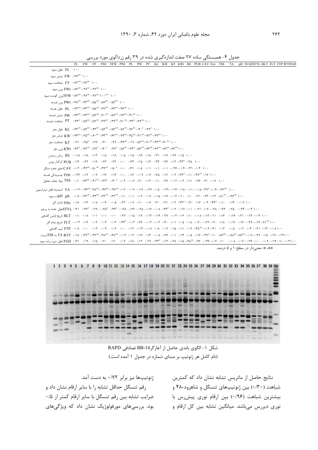| ۱.۰۰ FL طول میوه                                                                                                                                                                                                                                          |
|-----------------------------------------------------------------------------------------------------------------------------------------------------------------------------------------------------------------------------------------------------------|
| ۲۰۰ **FW ۰/۷۷ عرض میوه                                                                                                                                                                                                                                    |
| $FT \cdot$ ۰/۲۴ ۰/۹۴ ۰/۹۴ مخامت میوه                                                                                                                                                                                                                      |
| وزن ميوه $FWt\cdot$ ۰/۹۷** ۰/۹۷** ۱.۰۰                                                                                                                                                                                                                    |
| وزن گوشت ميوه FFW ۰/۸۳** ۰/۹۷** ۱/۰۰ ۰۰*                                                                                                                                                                                                                  |
| وزن هسته $\text{PWt} \cdot \text{F} \mathsf{A}^{\text{ee}} \cdot \text{F} \mathsf{Y}^{\text{ee}} \cdot \text{A} \mathsf{A}^{\text{ee}} \cdot \text{A} \mathsf{Y}^{\text{ee}} \cdot \text{A} \mathsf{Y}^{\text{ee}} \cdot \text{A} \mathsf{Y}^{\text{ee}}$ |
| ٠/٩٢* PL ٠/٩٢** ٠/۶٣* ٠/۵۵* ٠/۶٧** ٠/٥٥* PL ٠/٩٢* ٠/۶٣* بطول هسته                                                                                                                                                                                         |
| ۰۰، PW ۰/۴۴**۰/۷۳**۰/۵۹**۰/۶۰ ۰/۵۹**۰/۵۹**۰/۵۹**۰/۰۰ PW عرض هسته                                                                                                                                                                                          |
| ٠٠. ١ PT ٠/٣٣* ٠/٥٧** ٠/٥٢** ٠/٥٢** ٠/٥٢** ٠/٥٢** PT ضخامت هسته                                                                                                                                                                                           |
| ۰۰. [ ^ KI_ ۰/۷۳** ۰/۵۳** ۰/۵۳** ۰/۵۳** ۰/۵۳** ۰/۵۳** دامل مغز                                                                                                                                                                                            |
|                                                                                                                                                                                                                                                           |
| ۰۰. ( KT ۰/۲۵ ۰/۳۵*۰/۱۹ ۰/۳۹ ۰/۲۹ ۰/۲۹ ۰/۲۹ ۰/۲۹ ۰/۲۹ ۲۴۴*۰/۰۰ KT ضخامت مغز                                                                                                                                                                               |
| ۰۰. ( KWt ۰/۳۳* ۰/۴۷* ۰/۴۷* ۰/۴۹* ۰/۳۹* ۰/۴۹* ۰/۳۹* ۰/۴۹* ۰/۵۹* ۲۳* ۱/۵۲* ۲۳* ۱/۶۶* ۱/۰۰ KWt وزن مغز                                                                                                                                                      |
| ۰۱، ۱۸/۰ - ۲۸/۰ - ۱۷/۰ - ۱۸/۰ - ۱۸/۰ - ۱۸/۰ - ۱۸/۰ - ۱۸/۰ - ۱۸/۰ - ۱۸/۰ - RS ، زمان رسیدن                                                                                                                                                                 |
|                                                                                                                                                                                                                                                           |
| ۰۰۲, CAV ۰/۴۲ ۰/۴۴ ۰/۵۰ ۰/۳۱ ۰/۰۵ ۰/۰۱ ۰/۴۱ ۰/۵۰ ۰/۵۰ ۰/۵۰ ۰/۵۰ ۰/۴۹*۰/۵۰ ۲۴۴*۰/۰ ۲۸۹۳ عمق حفره دمگل                                                                                                                                                      |
| ۰۰۱، ۱۴۹٬۰۰۰٬۱۴۳٬۰۰۰٬۱۴۹٬۰۰۰٬۱۶۰٬۰۰۰٬۱۴۹٬۰۰۰٬۱۴۰٬۰۰۰٬۱۳۰٬۰۰۰٬۱۳۰٬۰۰۰٬۱۲۰٬۰۰۱٬۲۰۰٬۱۲۰٬۰۰۰٬۱۲۰٬۰۰۰٬۱۲۰ جسبيدگي هسته                                                                                                                                         |
| ۰۰(۱۰ ۰/۲۴ ۰/۱۴ ۰/۱۴ ۰/۱۰ - ۰/۲۷ - ۰/۱۲ - ۰/۱۲ - ۰/۱۴ - ۰/۱۴ - ۰/۴۴ ۰/۴۴ ۰/۴۴ - ۰/۴۴ ۰/۴۳ - TSS مواد جامد محلول                                                                                                                                           |
|                                                                                                                                                                                                                                                           |
|                                                                                                                                                                                                                                                           |
| ۰۰/ ۰/۱۴ - ۱۳۴۰ - ۱۳۴۰ - ۱۳۳۰ - ۱۳۴۰ - ۱۳۴۰ - ۲۳۰ - ۲۳۰ - ۲۴۰ - ۲۴۰ - ۲۴۰ - ۲۴۰ - ۲۰۱۵ - ۲۰۱۴ - ۲۱۵ - FISz - ۱۸۰ - ۲۰۱۴ - گل                                                                                                                              |
| ۰۰۲۱ -۰۱۴۴ -۰۱۲۷ -۰۱۲۸ -۰۱۲۷ -۰۱۲۷ -۰۱۲۷ -۰۱۲۷ -۰۱۲۷ -۰۱۲۷ -۰۱۲۸ -۰۱۲۵ -- ۱۳۴۴ -- ۱۳۴۴ -- ۱۳۴۴ -- ۱۳۴۴ -- ۱۳۴۲ -- ۱۳۵۲ -- ۱۳۵۲ -- ۱۳۵۲ -- ۱۳۵۲ -- ۱۳۵۲ -- ۱۳۵۲ -- ۱۳۵۲ -- ۱۳۵۲ -- ۱۳۵۲ --                                                                 |
| ٠٠١، ٢٠/١٣ - ١٢/٠ - ١/٢/ - ١/١/٠ - ١/١/٠ - ١/١/٠ - ١/١/٠ - ١/١/٠ - ١/١٧ - ١/١/٠ - ١/٢/ - ١/٢٧ - ١/١٠ - ١/٢٧ - ١/٢١ - BLT - ١/١٠ - ١/٢١ - ١/٢٧ - ١/٢٧ - ١/٢٧ - ١/٢٧ - ١/٢٧ - ١/٢٧ - ١/٢٧ - ١/٢                                                             |
| ۰۰۱۹ (۱۴۰–۱۷۸، --۱۷۲، --۱۷۲، --۱۲۷، --۱۲۷، --۱۰۷، --۰۱۰، ۲۰۰۲، ۲۷۲–۱۲۴، ۲۳۴–۱۳۴۴–۱۳۴۰، ۲۰۰۲–۲۴۰۴، ۱۲۰۲–۲۴ تاريخ تمام گل                                                                                                                                   |
|                                                                                                                                                                                                                                                           |
| ۰۱/۱۷ - ۱۷/۰ - ۱۸۶°° - ۱۸۶°′ - ۱۸۶°° - ۱۸۶°′ - ۱۸۶°′ - ۱۷۷ - ۱۴۷۰ - ۱۴۸۰ - ۱۷۳ - ۱۴۸° - ۱۴۸° - ۱۸۶°′ - ۱۸۶°′ - ۱۸۶°′ - ۱۸۶°′ - ۱۸۶°′ - ۱۸۶°′ - ۱۸۶°′ - ۱۸۶°′ - ۱۸۶°′ - ۱۸۶°′ - ۱۸۶°′ - ۱۸۶°′ - ۱۸۶°′ - ۱۸۶°′ - ۱۸۶°′ - ۱۸۶°′                              |
|                                                                                                                                                                                                                                                           |

\*\*، \*: معنىدار در سطح ۱ و ۵ درصد.



شكل ١- الگوى باندى حاصل از آغازگر BB-14 تصادفى RAPD (نام کامل هر ژنوتیپ بر مبنای شماره در جدول ۱ آمده است.)

ژنوتیپها نیز برابر ۰/۷۲ به دست آمد. رقم تنسگل حداقل تشابه را با سایر ارقام نشان داد و ضرایب تشابه بین رقم تنسگل با سایر ارقام کمتر از ۰/۵ بود. بررسیهای مورفولوژیک نشان داد که ویژگیهای

نتایج حاصل از ماتریس تشابه نشان داد که کمترین شباهت (۲۰)۰) بین ژنوتیپهای تنسگل و شاهرود-۴۸ و بیشترین شباهت (۰/۹۶) بین ارقام نوری پیشرس با نوری دیررس میباشد. میانگین تشابه بین کل ارقام و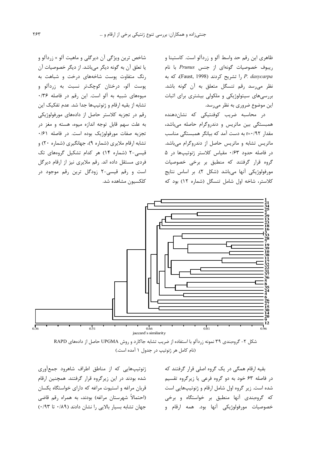ظاهري اين رقم حد واسط آلو و زردآلو است. كاستينا و ریبوف خصوصیات گونهای از جنس Prunus با نام P. dasycarpa را تشريح كردند (Faust, 1998)، كه به نظر میرسد رقم تنسگل متعلق به آن گونه باشد. بررسیهای سیتولوژیکی و ملکولی بیشتری برای اثبات این موضوع ضروری به نظر میرسد.

در محاسبه ضریب کوفنتیکی که نشاندهنده همبستگی بین ماتریس و دندروگرام حاصله میباشد، مقدار r=۰/۹۲ به دست آمد که بیانگر همبستگی مناسب ماتریس تشابه و ماتریس حاصل از دندروگرام مے باشد. در فاصله حدود ۰/۶۳ مقیاس کلاستر ژنوتیپها در ۵ گروه قرار گرفتند که منطبق بر برخی خصوصیات مورفولوژیکی آنها میباشد (شکل ۲). بر اساس نتایج كلاستر، شاخه اول شامل تنسگل (شماره ١٢) بود كه

شاخص ترین ویژگی آن دیرگلی و ماهیت آلو × زردآلو و يا تعلق آن به گونه ديگر مي باشد. از ديگر خصوصيات آن رنگ متفاوت پوست شاخههای درخت و شباهت به پوست آلو، درختان کوچکتر نسبت به زردآلو و میوههای شبیه به آلو است. این رقم در فاصله ۰/۳۶ تشابه از بقیه ارقام و ژنوتیپها جدا شد. عدم تفکیک این رقم در تجزیه کلاستر حاصل از دادههای مورفولوژیکی به علت سهم قابل توجه اندازه میوه، هسته و مغز در تجزیه صفات مورفولوژیک بوده است. در فاصله ۰/۶۱ تشابه ارقام ملایری (شماره ۹)، جهانگیری (شماره ۲۰) و قیسی-۲ (شماره ۱۴) هر کدام تشکیل گروههای تک فردی مستقل داده اند. رقم ملایری نیز از ارقام دیرگل است و رقم قیسی-۲ زودگل ترین رقم موجود در كلكسيون مشاهده شد.



شکل ۲- گروهبندی ۳۹ نمونه زردآلو با استفاده از ضریب تشابه جاکارد و روش UPGMA حاصل از دادههای RAPD (نام کامل هر ژنوتیپ در جدول ۱ آمده است.)

بقیه ارقام همگی در یک گروه اصلی قرار گرفتند که در فاصله ۶۳ خود به دو گروه فرعی یا زیرگروه تقسیم شده است. زیر گروه اول شامل ارقام و ژنوتیپهایی است که گروهبندی آنها منطبق بر خواستگاه و برخی خصوصیات مورفولوژیکی آنها بود. همه ارقام و

ژنوتیپهایی که از مناطق اطراف شاهرود جمعأوری شده بودند در این زیرگروه قرار گرفتند. همچنین ارقام قربان مراغه و استیوت مراغه که دارای خواستگاه یکسان (احتمالاً شهرستان مراغه) بودند، به همراه رقم قاضی جهان تشابه بسيار بالايي را نشان دادند (٨٩/٠ تا ٠/٩٣)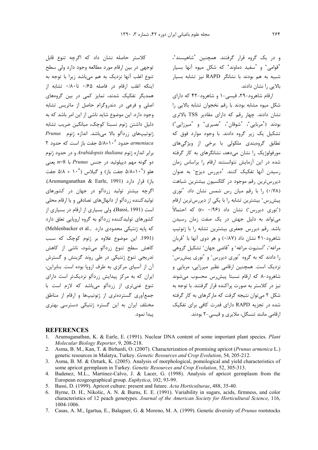و در یک گروه قرار گرفتند. همچنین 'شاهیسند'، 'قوامی' و 'سفید دماوند' که شکل میوه آنها بسیار شبیه به هم بودند با نشانگر RAPD نیز تشابه بسیار بالایی را نشان دادند.

ارقام شاهرود-٢٩، قیسی-١ و شاهرود-۴٢ كه دارای شکل میوه مشابه بودند با رقم نخجوان تشابه بالایی را نشان دادند. چهار رقم که دارای مقادیر TSS بالاتری بودند ('مربایی'، 'شوقان'، 'نصیری' و 'میرزایی') تشکیل یک زیر گروه دادند. با وجود موارد فوق که تطابق گروہبندی ملکولی با برخی از ویژگی،های مورفولوژیک را نشان می دهد، نشانگرهای به کار گرفته شده در این آزمایش نتوانستند ارقام را براساس زمان رسیدن آنها تفکیک کنند. 'دیررس دیزج' به عنوان دیررسترین رقم موجود در کلکسیون بیشترین شباهت (۰/۷۸) را با رقم میان رس شمس نشان داد. 'نوری پیش رس ٔ بیشترین تشابه را با یکی از دیررسترین ارقام ('نوری دیررس') نشان داد (۹۶/۰ =r) که احتمالاً می تواند به دلیل جهش در یک صفت زمان رسیدن باشد. رقم دیررس جعفری بیشترین تشابه را با ژنوتیپ شاهرود-۴۱ نشان داد (۰/۸۷) و هر دوی آنها با 'قربان مراغه'، 'استيوت مراغه' و 'قاضى جهان' تشكيل گروهى ۱٫ دادند که به گروه 'نوری دیررس' و 'نوری پیشرس' نزدیک است. همچنین ارقامی نظیر میرزایی، مربایی و شاهرود-۸ که ارقام نسبتا پیش رس محسوب می شوند نیز در کلاستر به صورت پراکنده قرار گرفتند. با توجه به شکل ۲ مے توان نتیجه گرفت که مارکرهای به کار گرفته شده در تحزیه RAPD دارای قدرت کافی برای تفکیک ارقامی مانند تنسگل، ملایری و قیسی-۲ بودند.

# كلاستر حاصله نشان داد كه اگرچه تنوع قابل توجهي در بين ارقام مورد مطالعه وجود دارد ولي سطح تنوع اغلب آنها نزدیک به هم میباشد زیرا با توجه به اینکه اغلب ارقام در فاصله ۰/۶۵ تا۱۸۰۰ تشابه از همدیگر تفکیک شدند، تمایز کمی در بین گروههای اصلی و فرعی در دندروگرام حاصل از ماتریس تشابه وجود دارد. این موضوع شاید ناشی از این امر باشد که به دليل داشتن ژنوم نسبتا كوچك، ميانگين ضريب تشابه ژنوتیپهای زردآلو بالا میباشد. اندازه ژنوم Prunus ۲ حدود ۵/۸×۵/۸ جفت باز است که حدود ۲ $armeniaca$ برابر اندازه ژنوم Arabidopsis thaliana و در حدود ژنوم دو گونه مهم دیپلوئید در جنس *Prunus* با n=8 یعنی هلو (۵/۸×۱۰<sup>۸</sup> جفت باز) و گیلاس (۵/۸ × ۵/۸ جفت باز) قرار دارد (Arumunganathan & Earle, 1991). اگرچه بیشتر تولید زردآلو در جهان در کشورهای تولیدکننده زردآلو از دانهالهای تصادفی و یا ارقام محلی است (Bassi, 1991)، ولي بسياري از ارقام در بسياري از کشورهای تولیدکننده زردآلو به گروه اروپایی تعلق دارد (Mehlenbacker et al., دارد) (Mehlenbacker et al., (1991. این موضوع علاوه بر ژنوم کوچک که سبب كاهش سطح تنوع زردآلو مى شود، ناشى از كاهش تدریجی تنوع ژنتیکی در طی روند گزینش و گسترش آن از آسیای مرکزی به طرف اروپا بوده است. بنابراین، ایران که به مرکز پیدایش زردآلو نزدیکتر است دارای تنوع غني تري از زردآلو مي باشد كه لازم است با جمع آوری گسترده تری از ژنوتیپها و ارقام از مناطق مختلف ایران به این گستره ژنتیکی دسترسی بهتری ييدا نمود.

#### **REFERENCES**

- Arumuganathan, K. & Earle, E. (1991). Nuclear DNA content of some important plant species. Plant  $1<sup>1</sup>$ Molecular Biology Reporter, 9, 208-218.
- Asma, B. M., Kan, T. & Birhanli, O. (2007). Characterization of promising apricot (Prunus armenica L.)  $2.$ genetic resources in Malatya, Turkey. Genetic Resources and Crop Evolution, 54, 205-212.
- 3. Asma, B. M. & Ozturk, K. (2005). Analysis of morphological, pomological and yield characteristics of some apricot germplasm in Turkey. Genetic Resources and Crop Evolution, 52, 305-313.
- 4. Badenez, M.L., Martinez-Calvo, J. & Lacer, G. (1998). Analysis of apricot germplasm from the European ecogeographical group. Euphytica, 102, 93-99.
- 5. Bassi, D. (1999). Apricot culture: present and future. Acta Horticulturae, 488, 35-40.
- 6. Byrne, D. H., Nikolic, A. N. & Burns, E. E. (1991). Variability in sugars, acids, firmness, and color characteristics of 12 peach genotypes. Journal of the American Society for Horticultural Science, 116, 1004-1006.
- 7. Casas, A. M., Igartua, E., Balaguer, G. & Moreno, M. A. (1999). Genetic diversity of Prunus rootstocks